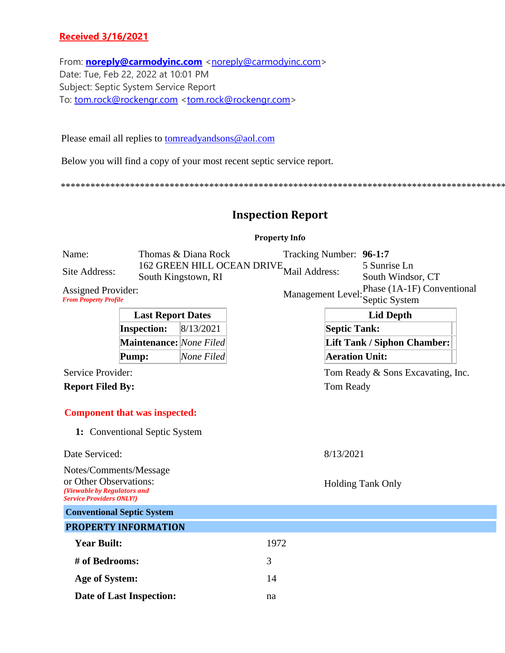## **Received 3/16/2021**

From: **[noreply@carmodyinc.com](mailto:noreply@carmodyinc.com)** [<noreply@carmodyinc.com>](mailto:noreply@carmodyinc.com) Date: Tue, Feb 22, 2022 at 10:01 PM Subject: Septic System Service Report To: [tom.rock@rockengr.com](mailto:tom.rock@rockengr.com) [<tom.rock@rockengr.com>](mailto:tom.rock@rockengr.com)

Please email all replies to [tomreadyandsons@aol.com](mailto:tomreadyandsons@aol.com)

Below you will find a copy of your most recent septic service report.

\*\*\*\*\*\*\*\*\*\*\*\*\*\*\*\*\*\*\*\*\*\*\*\*\*\*\*\*\*\*\*\*\*\*\*\*\*\*\*\*\*\*\*\*\*\*\*\*\*\*\*\*\*\*\*\*\*\*\*\*\*\*\*\*\*\*\*\*\*\*\*\*\*\*\*\*\*\*\*\*\*\*\*\*\*\*\*\*\*\*

## **Inspection Report**

## **Property Info**

|                                                                                                                    |                                                                       |                     |                                   | т торетту пшо           |                       |                                             |
|--------------------------------------------------------------------------------------------------------------------|-----------------------------------------------------------------------|---------------------|-----------------------------------|-------------------------|-----------------------|---------------------------------------------|
| Name:                                                                                                              |                                                                       | Thomas & Diana Rock |                                   | Tracking Number: 96-1:7 |                       |                                             |
| Site Address:                                                                                                      |                                                                       | South Kingstown, RI | <b>162 GREEN HILL OCEAN DRIVE</b> | Mail Address:           |                       | 5 Sunrise Ln<br>South Windsor, CT           |
| <b>Assigned Provider:</b><br><b>From Property Profile</b>                                                          |                                                                       |                     |                                   | Management Level:       |                       | Phase (1A-1F) Conventional<br>Septic System |
| <b>Last Report Dates</b>                                                                                           |                                                                       |                     |                                   |                         | <b>Lid Depth</b>      |                                             |
|                                                                                                                    | <b>Inspection:</b>                                                    | 8/13/2021           |                                   |                         | <b>Septic Tank:</b>   |                                             |
|                                                                                                                    | <b>Maintenance:</b> None Filed                                        |                     |                                   |                         |                       | <b>Lift Tank / Siphon Chamber:</b>          |
|                                                                                                                    | Pump:                                                                 | None Filed          |                                   |                         | <b>Aeration Unit:</b> |                                             |
| Service Provider:                                                                                                  |                                                                       |                     |                                   |                         |                       | Tom Ready & Sons Excavating, Inc.           |
| <b>Report Filed By:</b>                                                                                            |                                                                       |                     |                                   |                         | Tom Ready             |                                             |
|                                                                                                                    | <b>Component that was inspected:</b><br>1: Conventional Septic System |                     |                                   |                         |                       |                                             |
| Date Serviced:                                                                                                     |                                                                       |                     |                                   |                         | 8/13/2021             |                                             |
| Notes/Comments/Message<br>or Other Observations:<br>(Viewable by Regulators and<br><b>Service Providers ONLY!)</b> |                                                                       |                     |                                   |                         |                       | <b>Holding Tank Only</b>                    |
|                                                                                                                    | <b>Conventional Septic System</b>                                     |                     |                                   |                         |                       |                                             |
|                                                                                                                    | <b>PROPERTY INFORMATION</b>                                           |                     |                                   |                         |                       |                                             |
| <b>Year Built:</b>                                                                                                 |                                                                       |                     | 1972                              |                         |                       |                                             |
| # of Bedrooms:                                                                                                     |                                                                       |                     | 3                                 |                         |                       |                                             |
| Age of System:                                                                                                     |                                                                       |                     | 14                                |                         |                       |                                             |
|                                                                                                                    | Date of Last Inspection:                                              |                     | na                                |                         |                       |                                             |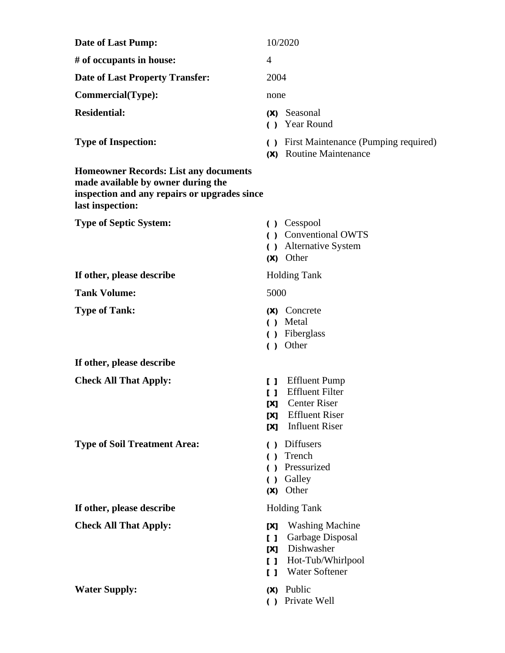| <b>Date of Last Pump:</b>                                                                                                                              | 10/2020                                                                                                                                                                             |  |  |
|--------------------------------------------------------------------------------------------------------------------------------------------------------|-------------------------------------------------------------------------------------------------------------------------------------------------------------------------------------|--|--|
| # of occupants in house:                                                                                                                               | $\overline{4}$                                                                                                                                                                      |  |  |
| <b>Date of Last Property Transfer:</b>                                                                                                                 | 2004                                                                                                                                                                                |  |  |
| <b>Commercial(Type):</b>                                                                                                                               | none                                                                                                                                                                                |  |  |
| <b>Residential:</b>                                                                                                                                    | Seasonal<br>(X)<br>( ) Year Round                                                                                                                                                   |  |  |
| <b>Type of Inspection:</b>                                                                                                                             | First Maintenance (Pumping required)<br>$\left( \right)$<br><b>Routine Maintenance</b><br>(X)                                                                                       |  |  |
| <b>Homeowner Records: List any documents</b><br>made available by owner during the<br>inspection and any repairs or upgrades since<br>last inspection: |                                                                                                                                                                                     |  |  |
| <b>Type of Septic System:</b>                                                                                                                          | ( ) Cesspool<br>() Conventional OWTS<br>() Alternative System<br>(X) Other                                                                                                          |  |  |
| If other, please describe                                                                                                                              | <b>Holding Tank</b>                                                                                                                                                                 |  |  |
| <b>Tank Volume:</b>                                                                                                                                    | 5000                                                                                                                                                                                |  |  |
| <b>Type of Tank:</b>                                                                                                                                   | Concrete<br>(X)<br>( ) Metal<br>Fiberglass<br>$\left( \right)$<br>Other<br>( )                                                                                                      |  |  |
| If other, please describe                                                                                                                              |                                                                                                                                                                                     |  |  |
| <b>Check All That Apply:</b>                                                                                                                           | <b>Effluent Pump</b><br>$\mathbf{I}$<br><b>Effluent Filter</b><br>$\mathbf{I}$<br><b>Center Riser</b><br><b>TX1</b><br><b>Effluent Riser</b><br>[X]<br><b>Influent Riser</b><br>[X] |  |  |
| <b>Type of Soil Treatment Area:</b>                                                                                                                    | Diffusers<br>$\left( \quad \right)$<br>Trench<br>$\left( \quad \right)$<br>Pressurized<br>Galley<br>Other<br>(X)                                                                    |  |  |
| If other, please describe                                                                                                                              | <b>Holding Tank</b>                                                                                                                                                                 |  |  |
| <b>Check All That Apply:</b>                                                                                                                           | <b>Washing Machine</b><br>[X]<br>Garbage Disposal<br>[]<br>Dishwasher<br>[X]<br>Hot-Tub/Whirlpool<br>$\mathbf{I}$<br><b>Water Softener</b><br>$\mathsf{L}$                          |  |  |
| <b>Water Supply:</b>                                                                                                                                   | Public<br>(X)<br>Private Well<br>$\left( \right)$                                                                                                                                   |  |  |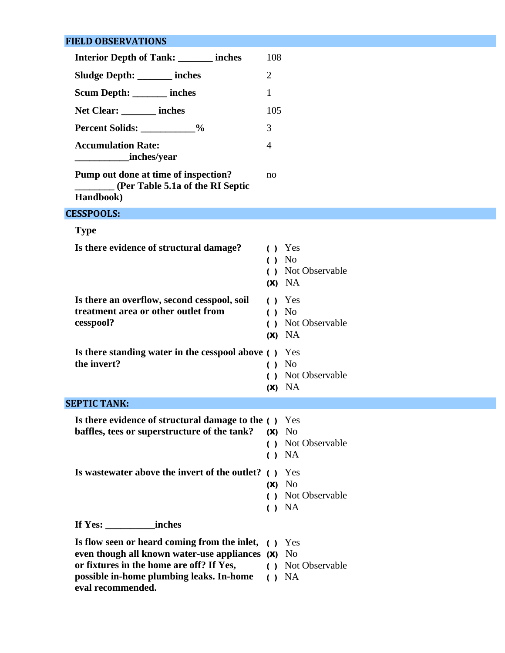# **FIELD OBSERVATIONS**

| <b>Interior Depth of Tank:</b> _______ inches                                                                                                                                                                         | 108                                                                                          |
|-----------------------------------------------------------------------------------------------------------------------------------------------------------------------------------------------------------------------|----------------------------------------------------------------------------------------------|
| Sludge Depth: ______ inches                                                                                                                                                                                           | $\overline{2}$                                                                               |
| Scum Depth: ______ inches                                                                                                                                                                                             | $\mathbf{1}$                                                                                 |
| Net Clear: inches                                                                                                                                                                                                     | 105                                                                                          |
| Percent Solids: ___________%                                                                                                                                                                                          | 3                                                                                            |
| <b>Accumulation Rate:</b><br>inches/year                                                                                                                                                                              | $\overline{4}$                                                                               |
| Pump out done at time of inspection?<br>(Per Table 5.1a of the RI Septic<br>Handbook)                                                                                                                                 | no                                                                                           |
| <b>CESSPOOLS:</b>                                                                                                                                                                                                     |                                                                                              |
| <b>Type</b>                                                                                                                                                                                                           |                                                                                              |
| Is there evidence of structural damage?                                                                                                                                                                               | $( )$ Yes<br>No<br>$\left( \right)$<br>( ) Not Observable<br>$(X)$ NA                        |
| Is there an overflow, second cesspool, soil<br>treatment area or other outlet from<br>cesspool?                                                                                                                       | Yes<br>$\left( \right)$<br>() No<br>Not Observable<br>$\left( \right)$<br>$(X)$ NA           |
| Is there standing water in the cesspool above () Yes<br>the invert?                                                                                                                                                   | N <sub>0</sub><br>$\left( \quad \right)$<br>Not Observable<br>$\left( \ \right)$<br>$(X)$ NA |
| <b>SEPTIC TANK:</b>                                                                                                                                                                                                   |                                                                                              |
| <b>Is there evidence of structural damage to the ()</b> Yes<br>baffles, tees or superstructure of the tank?                                                                                                           | $(X)$ No<br>( ) Not Observable<br>$( )$ NA                                                   |
| Is was tewater above the invert of the outlet? () Yes                                                                                                                                                                 | $(X)$ No<br>( ) Not Observable<br>() NA                                                      |
|                                                                                                                                                                                                                       |                                                                                              |
| Is flow seen or heard coming from the inlet, () Yes<br>even though all known water-use appliances (x) No<br>or fixtures in the home are off? If Yes,<br>possible in-home plumbing leaks. In-home<br>eval recommended. | ( ) Not Observable<br>$\bigcup$ NA                                                           |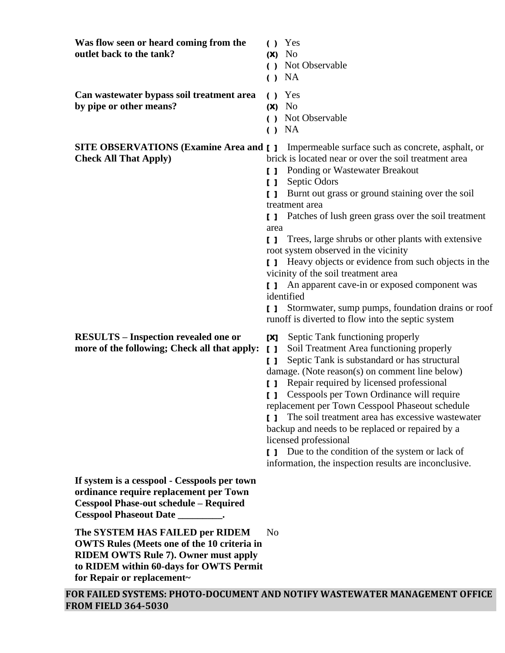| Was flow seen or heard coming from the<br>outlet back to the tank?                                                                                                                                            | $\left( \quad \right)$<br>(X)<br>$\left( \right)$<br>$\left( \right)$                                                                     | Yes<br>N <sub>0</sub><br>Not Observable<br>NA                                                                                                                                                                                                                                                                                                                                                                                                                                                                                                                                                                                                                |
|---------------------------------------------------------------------------------------------------------------------------------------------------------------------------------------------------------------|-------------------------------------------------------------------------------------------------------------------------------------------|--------------------------------------------------------------------------------------------------------------------------------------------------------------------------------------------------------------------------------------------------------------------------------------------------------------------------------------------------------------------------------------------------------------------------------------------------------------------------------------------------------------------------------------------------------------------------------------------------------------------------------------------------------------|
| Can wastewater bypass soil treatment area<br>by pipe or other means?                                                                                                                                          | $\left( \right)$<br>(X)<br>$\left( \right)$<br>$\left( \right)$                                                                           | Yes<br>No<br>Not Observable<br>NA                                                                                                                                                                                                                                                                                                                                                                                                                                                                                                                                                                                                                            |
| <b>SITE OBSERVATIONS (Examine Area and [ ]</b><br><b>Check All That Apply)</b>                                                                                                                                | I 1<br>$\mathbf{I}$<br>$\mathbf{I}$<br>area<br>$\mathbf{L}$<br>$\mathbf{I}$<br>$\begin{smallmatrix}1\\1\end{smallmatrix}$<br>$\mathbf{I}$ | Impermeable surface such as concrete, asphalt, or<br>brick is located near or over the soil treatment area<br>Ponding or Wastewater Breakout<br>Septic Odors<br>Burnt out grass or ground staining over the soil<br>treatment area<br>Patches of lush green grass over the soil treatment<br>Trees, large shrubs or other plants with extensive<br>root system observed in the vicinity<br>Heavy objects or evidence from such objects in the<br>vicinity of the soil treatment area<br>An apparent cave-in or exposed component was<br>identified<br>Stormwater, sump pumps, foundation drains or roof<br>runoff is diverted to flow into the septic system |
| <b>RESULTS</b> – Inspection revealed one or<br>more of the following; Check all that apply:                                                                                                                   | [X]<br>$\mathbf{I}$<br>$\mathsf{L}$<br>[ ]<br>ΙI<br>$\mathbf{I}$                                                                          | Septic Tank functioning properly<br>Soil Treatment Area functioning properly<br>Septic Tank is substandard or has structural<br>damage. (Note reason(s) on comment line below)<br>Repair required by licensed professional<br>Cesspools per Town Ordinance will require<br>replacement per Town Cesspool Phaseout schedule<br>The soil treatment area has excessive wastewater<br>backup and needs to be replaced or repaired by a<br>licensed professional<br>[ ] Due to the condition of the system or lack of<br>information, the inspection results are inconclusive.                                                                                    |
| If system is a cesspool - Cesspools per town<br>ordinance require replacement per Town<br><b>Cesspool Phase-out schedule - Required</b><br>Cesspool Phaseout Date __________.                                 |                                                                                                                                           |                                                                                                                                                                                                                                                                                                                                                                                                                                                                                                                                                                                                                                                              |
| The SYSTEM HAS FAILED per RIDEM<br><b>OWTS Rules (Meets one of the 10 criteria in</b><br><b>RIDEM OWTS Rule 7). Owner must apply</b><br>to RIDEM within 60-days for OWTS Permit<br>for Repair or replacement~ | N <sub>0</sub>                                                                                                                            |                                                                                                                                                                                                                                                                                                                                                                                                                                                                                                                                                                                                                                                              |
|                                                                                                                                                                                                               |                                                                                                                                           | FOR FAILED SYSTEMS: PHOTO-DOCUMENT AND NOTIFY WASTEWATER MANAGEMENT OFFICE                                                                                                                                                                                                                                                                                                                                                                                                                                                                                                                                                                                   |

**FROM FIELD 364-5030**